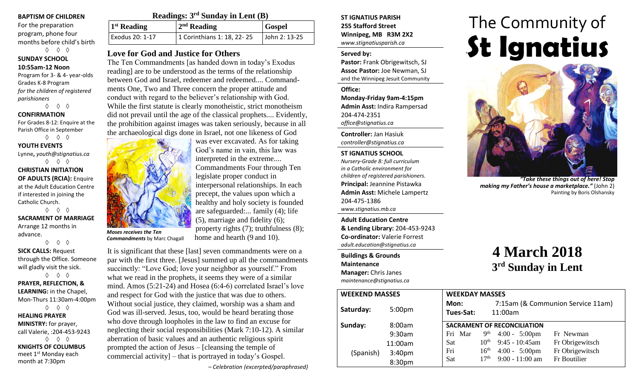#### **BAPTISM OF CHILDREN**

For the preparation program, phone four months before child's birth ◊ ◊ ◊

**SUNDAY SCHOOL 10:55am-12 Noon**

Program for 3- & 4- year-olds Grades K-8 Program *for the children of registered parishioners*

◊ ◊ ◊

#### **CONFIRMATION**

For Grades 8-12: Enquire at the Parish Office in September

◊ ◊ ◊ **YOUTH EVENTS**

Lynne**,** *youth@stignatius.ca* ◊ ◊ ◊

**CHRISTIAN INITIATION OF ADULTS (RCIA):** Enquire at the Adult Education Centre if interested in joining the Catholic Church. ◊ ◊ ◊

**SACRAMENT OF MARRIAGE** Arrange 12 months in advance.

◊ ◊ ◊ **SICK CALLS:** Request through the Office. Someone will gladly visit the sick. ◊ ◊ ◊

**PRAYER, REFLECTION, & LEARNING:** in the Chapel, Mon-Thurs 11:30am-4:00pm ◊ ◊ ◊ **HEALING PRAYER** 

**MINISTRY:** for prayer, call Valerie, :204-453-9243 ◊ ◊ ◊ **KNIGHTS OF COLUMBUS** meet 1st Monday each month at 7:30pm

| Readings: $3rd$ Sunday in Lent (B) |                            |               |  |  |
|------------------------------------|----------------------------|---------------|--|--|
| $1st$ Reading                      | $2nd$ Reading              | <b>Gospel</b> |  |  |
| Exodus 20: 1-17                    | 1 Corinthians 1: 18, 22-25 | John 2: 13-25 |  |  |

## **Love for God and Justice for Others**

The Ten Commandments [as handed down in today's Exodus reading] are to be understood as the terms of the relationship between God and Israel, redeemer and redeemed.... Commandments One, Two and Three concern the proper attitude and conduct with regard to the believer's relationship with God. While the first statute is clearly monotheistic, strict monotheism did not prevail until the age of the classical prophets.... Evidently, the prohibition against images was taken seriously, because in all the archaeological digs done in Israel, not one likeness of God



*Moses receives the Ten Commandments* by Marc Chagall

It is significant that these [last] seven commandments were on a par with the first three. [Jesus] summed up all the commandments succinctly: "Love God; love your neighbor as yourself." From what we read in the prophets, it seems they were of a similar mind. Amos (5:21-24) and Hosea (6:4-6) correlated Israel's love and respect for God with the justice that was due to others. Without social justice, they claimed, worship was a sham and God was ill-served. Jesus, too, would be heard berating those who dove through loopholes in the law to find an excuse for neglecting their social responsibilities (Mark 7:10-12). A similar aberration of basic values and an authentic religious spirit prompted the action of Jesus – [cleansing the temple of commercial activity] – that is portrayed in today's Gospel.

home and hearth (9 and 10).

*– Celebration (excerpted/paraphrased)*

**ST IGNATIUS PARISH 255 Stafford Street Winnipeg, MB R3M 2X2** *www.stignatiusparish.ca*

### **Served by:**

**Pastor:** Frank Obrigewitsch, SJ **Assoc Pastor:** Joe Newman, SJ and the Winnipeg Jesuit Community

**Office: Monday-Friday 9am-4:15pm Admin Asst:** Indira Rampersad 204-474-2351 *office@stignatius.ca*

**Controller:** Jan Hasiuk *controller@stignatius.ca*

**ST IGNATIUS SCHOOL** *Nursery-Grade 8: full curriculum in a Catholic environment for children of registered parishioners.* **Principal:** Jeannine Pistawka **Admin Asst:** Michele Lampertz 204-475-1386 *www.stignatius.mb.ca*

**Adult Education Centre & Lending Library:** 204-453-9243 **Co-ordinator:** Valerie Forrest *adult.education@stignatius.ca*

**Buildings & Grounds Maintenance Manager:** Chris Janes *maintenance@stignatius.ca*

| The Community of |  |  |
|------------------|--|--|
| St Ignatius      |  |  |

The Community of



*"Take these things out of here! Stop making my Father's house a marketplace."* (John 2) Painting by Boris Olshansky

# **4 March 2018 3 rd Sunday in Lent**

| <b>WEEKEND MASSES</b> |                    | <b>WEEKDAY MASSES</b>                                                  |
|-----------------------|--------------------|------------------------------------------------------------------------|
| Saturday:             | 5:00 <sub>pm</sub> | 7:15am (& Communion Service 11am)<br>Mon:<br>Tues-Sat:<br>11:00am      |
| Sunday:               | 8:00am             | <b>SACRAMENT OF RECONCILIATION</b>                                     |
|                       | 9:30am             | 9 <sup>th</sup><br>$4:00 - 5:00 \text{pm}$<br>Fri Mar<br>Fr Newman     |
|                       | 11:00am            | $9:45 - 10:45$ am<br>$10^{\text{th}}$<br>Fr Obrigewitsch<br><b>Sat</b> |
| (Spanish)             | 3:40 <sub>pm</sub> | Fr Obrigewitsch<br>16 <sup>th</sup><br>Fri<br>$4:00 - 5:00 \text{pm}$  |
|                       | 8:30pm             | $9:00 - 11:00$ am<br>17 <sup>th</sup><br>Fr Boutilier<br>Sat           |